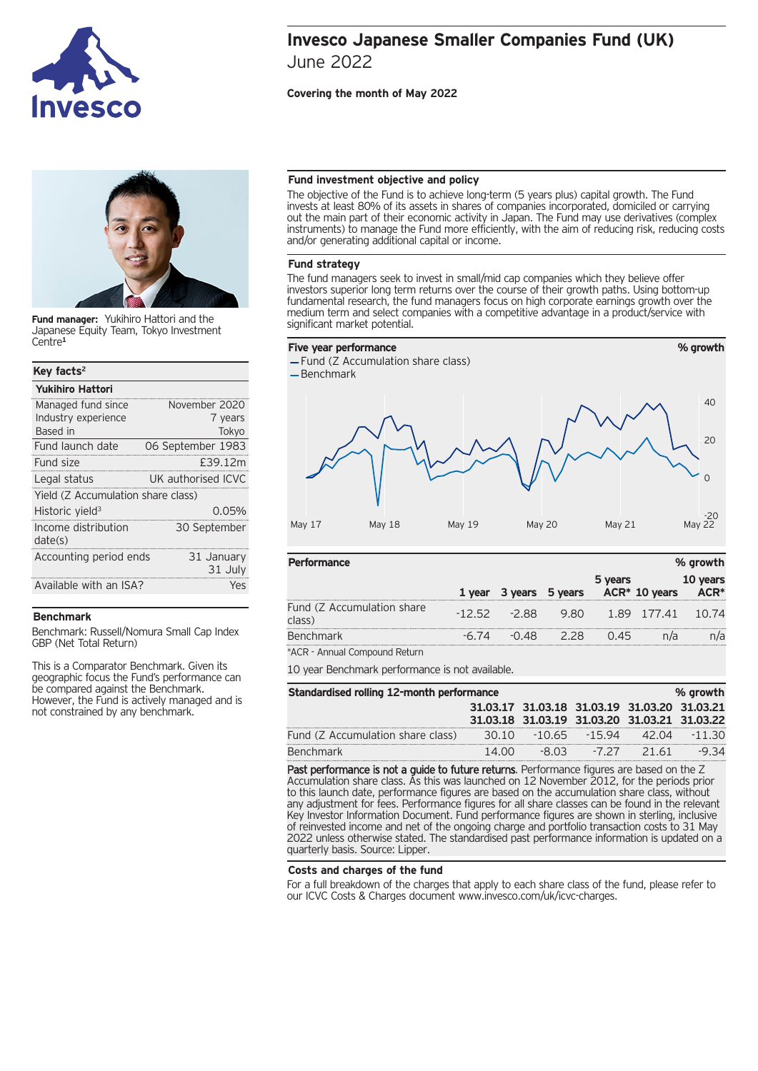



**Fund manager:** Yukihiro Hattori and the Japanese Equity Team, Tokyo Investment Centre**<sup>1</sup>**

| Key facts <sup>2</sup>             |                       |  |  |
|------------------------------------|-----------------------|--|--|
| <b>Yukihiro Hattori</b>            |                       |  |  |
| Managed fund since                 | November 2020         |  |  |
| Industry experience                | 7 years               |  |  |
| Based in                           | Tokyo                 |  |  |
| Fund launch date                   | 06 September 1983     |  |  |
| Fund size                          | £39.12m               |  |  |
| Legal status                       | UK authorised ICVC    |  |  |
| Yield (Z Accumulation share class) |                       |  |  |
| Historic yield <sup>3</sup>        | $0.05\%$              |  |  |
| Income distribution<br>date(s)     | 30 September          |  |  |
| Accounting period ends             | 31 January<br>31 July |  |  |
| Available with an ISA?             | Yes                   |  |  |

## **Benchmark**

Benchmark: Russell/Nomura Small Cap Index GBP (Net Total Return)

This is a Comparator Benchmark. Given its geographic focus the Fund's performance can be compared against the Benchmark. However, the Fund is actively managed and is not constrained by any benchmark.

# **Invesco Japanese Smaller Companies Fund (UK)** June 2022

# **Covering the month of May 2022**

## **Fund investment objective and policy**

The objective of the Fund is to achieve long-term (5 years plus) capital growth. The Fund invests at least 80% of its assets in shares of companies incorporated, domiciled or carrying out the main part of their economic activity in Japan. The Fund may use derivatives (complex instruments) to manage the Fund more efficiently, with the aim of reducing risk, reducing costs and/or generating additional capital or income.

## **Fund strategy**

The fund managers seek to invest in small/mid cap companies which they believe offer investors superior long term returns over the course of their growth paths. Using bottom-up fundamental research, the fund managers focus on high corporate earnings growth over the medium term and select companies with a competitive advantage in a product/service with significant market potential.



Fund (Z Accumulation share class)

- Benchmark



| <b>Performance</b>                   |         |                                                 |     |         | % growth |
|--------------------------------------|---------|-------------------------------------------------|-----|---------|----------|
|                                      |         | 1 year 3 years 5 years ACR* 10 years ACR*       |     | 5 years | 10 years |
| Fund (Z Accumulation share<br>class) |         | $-12.52$ $-2.88$ $9.80$ $1.89$ $177.41$ $10.74$ |     |         |          |
| Benchmark                            | $-6.74$ | -0.48                                           | 228 | 0.45    | n/a      |
|                                      |         |                                                 |     |         |          |

\*ACR - Annual Compound Return

10 year Benchmark performance is not available.

| Standardised rolling 12-month performance<br>% growth |       |       |                                                                                              |  |          |
|-------------------------------------------------------|-------|-------|----------------------------------------------------------------------------------------------|--|----------|
|                                                       |       |       | 31.03.17 31.03.18 31.03.19 31.03.20 31.03.21<br>31.03.18 31.03.19 31.03.20 31.03.21 31.03.22 |  |          |
| Fund (Z Accumulation share class)                     |       |       | 30.10 -10.65 -15.94 42.04                                                                    |  | $-11.30$ |
| <b>Benchmark</b>                                      | 14.00 | -8.03 | -727 2161                                                                                    |  | -9 34    |

Past performance is not a guide to future returns. Performance figures are based on the Z Accumulation share class. As this was launched on 12 November 2012, for the periods prior to this launch date, performance figures are based on the accumulation share class, without any adjustment for fees. Performance figures for all share classes can be found in the relevant Key Investor Information Document. Fund performance figures are shown in sterling, inclusive of reinvested income and net of the ongoing charge and portfolio transaction costs to 31 May 2022 unless otherwise stated. The standardised past performance information is updated on a quarterly basis. Source: Lipper.

## **Costs and charges of the fund**

For a full breakdown of the charges that apply to each share class of the fund, please refer to our ICVC Costs & Charges document www.invesco.com/uk/icvc-charges.